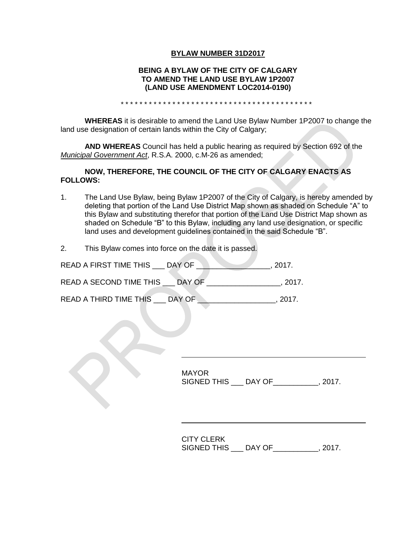## **BYLAW NUMBER 31D2017**

### **BEING A BYLAW OF THE CITY OF CALGARY TO AMEND THE LAND USE BYLAW 1P2007 (LAND USE AMENDMENT LOC2014-0190)**

\* \* \* \* \* \* \* \* \* \* \* \* \* \* \* \* \* \* \* \* \* \* \* \* \* \* \* \* \* \* \* \* \* \* \* \* \* \* \* \* \*

**WHEREAS** it is desirable to amend the Land Use Bylaw Number 1P2007 to change the land use designation of certain lands within the City of Calgary;

**AND WHEREAS** Council has held a public hearing as required by Section 692 of the *Municipal Government Act*, R.S.A. 2000, c.M-26 as amended;

### **NOW, THEREFORE, THE COUNCIL OF THE CITY OF CALGARY ENACTS AS FOLLOWS:**

- 1. The Land Use Bylaw, being Bylaw 1P2007 of the City of Calgary, is hereby amended by deleting that portion of the Land Use District Map shown as shaded on Schedule "A" to this Bylaw and substituting therefor that portion of the Land Use District Map shown as shaded on Schedule "B" to this Bylaw, including any land use designation, or specific land uses and development guidelines contained in the said Schedule "B".
- 2. This Bylaw comes into force on the date it is passed.

| READ A FIRST TIME THIS  | DAY OF | 2017. |
|-------------------------|--------|-------|
| READ A SECOND TIME THIS | DAY OF | 2017. |
| READ A THIRD TIME THIS  | DAY OF | 2017  |

MAYOR SIGNED THIS \_\_\_ DAY OF\_\_\_\_\_\_\_\_\_\_\_, 2017.

CITY CLERK SIGNED THIS \_\_\_ DAY OF\_\_\_\_\_\_\_\_\_\_\_, 2017.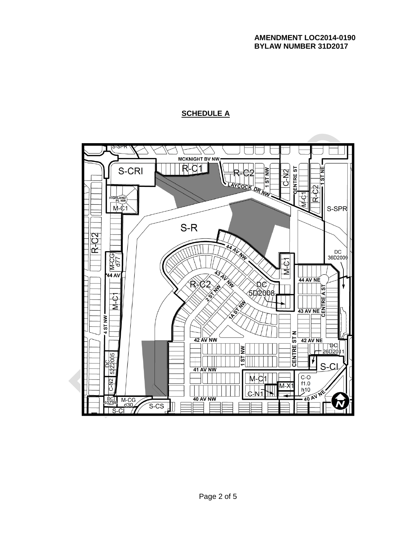## **AMENDMENT LOC2014-0190 BYLAW NUMBER 31D2017**

## **SCHEDULE A**

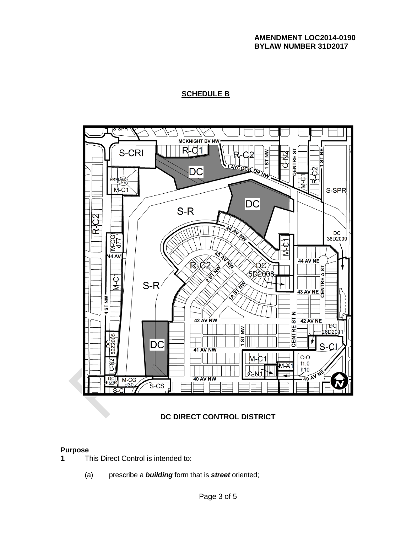### **AMENDMENT LOC2014-0190 BYLAW NUMBER 31D2017**

# **SCHEDULE B**



## **DC DIRECT CONTROL DISTRICT**

#### **Purpose**

- **1** This Direct Control is intended to:
	- (a) prescribe a *building* form that is *street* oriented;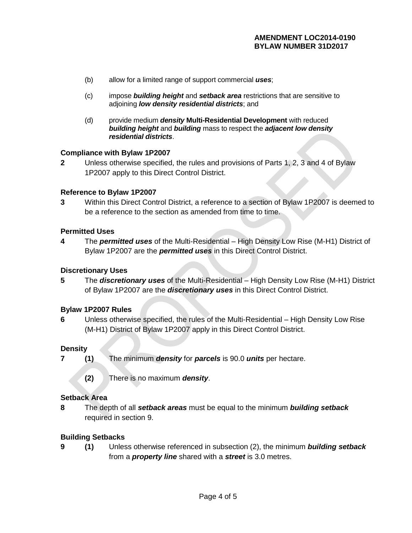- (b) allow for a limited range of support commercial *uses*;
- (c) impose *building height* and *setback area* restrictions that are sensitive to adjoining *low density residential districts*; and
- (d) provide medium *density* **Multi-Residential Development** with reduced *building height* and *building* mass to respect the *adjacent low density residential districts*.

### **Compliance with Bylaw 1P2007**

**2** Unless otherwise specified, the rules and provisions of Parts 1, 2, 3 and 4 of Bylaw 1P2007 apply to this Direct Control District.

### **Reference to Bylaw 1P2007**

**3** Within this Direct Control District, a reference to a section of Bylaw 1P2007 is deemed to be a reference to the section as amended from time to time.

### **Permitted Uses**

**4** The *permitted uses* of the Multi-Residential – High Density Low Rise (M-H1) District of Bylaw 1P2007 are the *permitted uses* in this Direct Control District.

#### **Discretionary Uses**

**5** The *discretionary uses* of the Multi-Residential – High Density Low Rise (M-H1) District of Bylaw 1P2007 are the *discretionary uses* in this Direct Control District.

## **Bylaw 1P2007 Rules**

**6** Unless otherwise specified, the rules of the Multi-Residential – High Density Low Rise (M-H1) District of Bylaw 1P2007 apply in this Direct Control District.

#### **Density**

- **7 (1)** The minimum *density* for *parcels* is 90.0 *units* per hectare.
	- **(2)** There is no maximum *density*.

### **Setback Area**

**8** The depth of all *setback areas* must be equal to the minimum *building setback* required in section 9.

## **Building Setbacks**

**9 (1)** Unless otherwise referenced in subsection (2), the minimum *building setback* from a *property line* shared with a *street* is 3.0 metres.